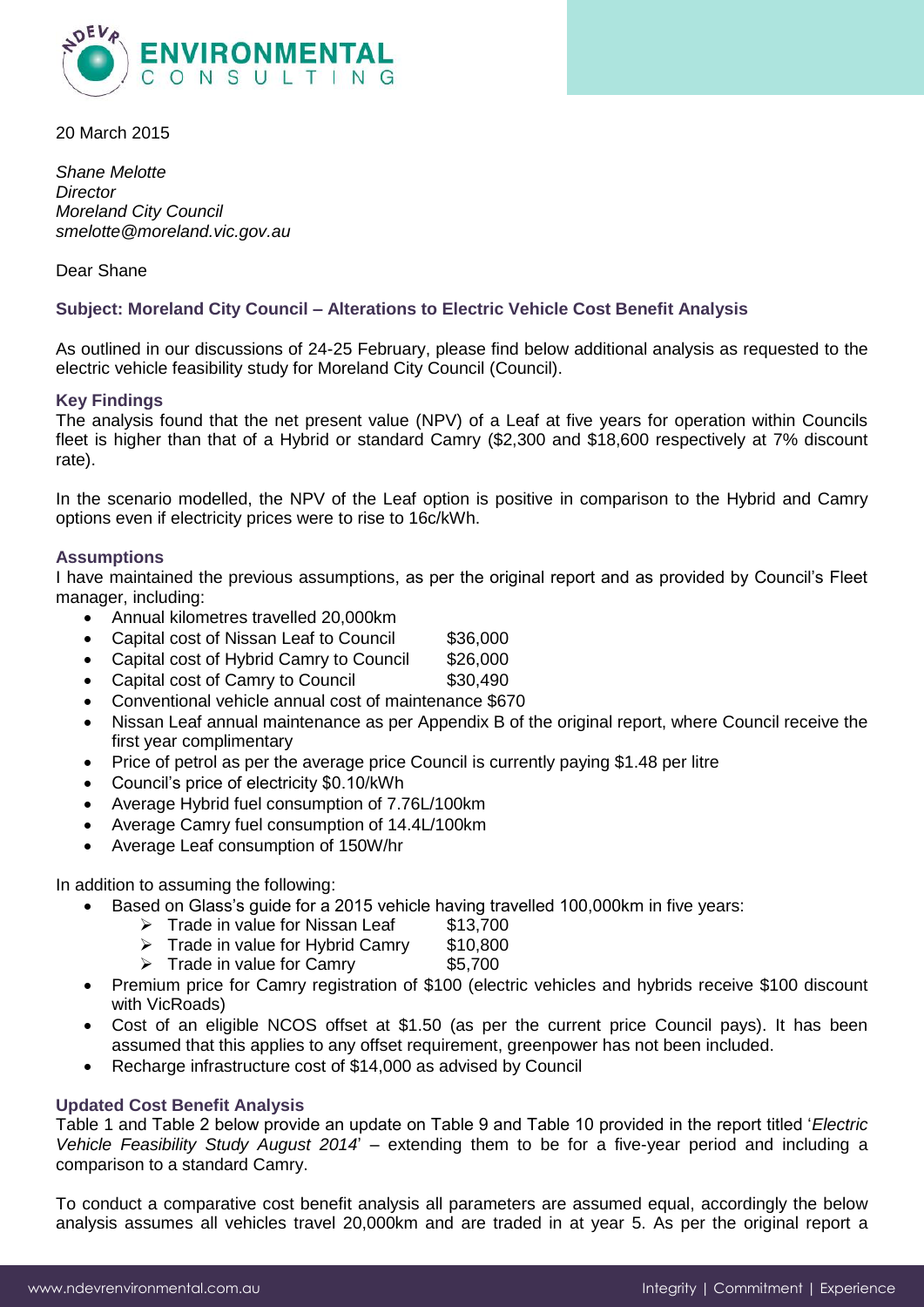

20 March 2015

*Shane Melotte Director Moreland City Council smelotte@moreland.vic.gov.au*

Dear Shane

## **Subject: Moreland City Council – Alterations to Electric Vehicle Cost Benefit Analysis**

As outlined in our discussions of 24-25 February, please find below additional analysis as requested to the electric vehicle feasibility study for Moreland City Council (Council).

#### **Key Findings**

The analysis found that the net present value (NPV) of a Leaf at five years for operation within Councils fleet is higher than that of a Hybrid or standard Camry (\$2,300 and \$18,600 respectively at 7% discount rate).

In the scenario modelled, the NPV of the Leaf option is positive in comparison to the Hybrid and Camry options even if electricity prices were to rise to 16c/kWh.

#### **Assumptions**

I have maintained the previous assumptions, as per the original report and as provided by Council's Fleet manager, including:

- Annual kilometres travelled 20,000km
- Capital cost of Nissan Leaf to Council \$36,000
- Capital cost of Hybrid Camry to Council \$26,000
- Capital cost of Camry to Council  $$30,490$
- Conventional vehicle annual cost of maintenance \$670
- Nissan Leaf annual maintenance as per Appendix B of the original report, where Council receive the first year complimentary
- Price of petrol as per the average price Council is currently paying \$1.48 per litre
- Council's price of electricity \$0.10/kWh
- Average Hybrid fuel consumption of 7.76L/100km
- Average Camry fuel consumption of 14.4L/100km
- Average Leaf consumption of 150W/hr

In addition to assuming the following:

- Based on Glass's guide for a 2015 vehicle having travelled 100,000km in five years:
	- $\triangleright$  Trade in value for Nissan Leaf \$13,700
	- $\triangleright$  Trade in value for Hybrid Camry \$10,800
	- $\triangleright$  Trade in value for Camry \$5,700
- Premium price for Camry registration of \$100 (electric vehicles and hybrids receive \$100 discount with VicRoads)
- Cost of an eligible NCOS offset at \$1.50 (as per the current price Council pays). It has been assumed that this applies to any offset requirement, greenpower has not been included.
- Recharge infrastructure cost of \$14,000 as advised by Council

# **Updated Cost Benefit Analysis**

Table 1 and Table 2 below provide an update on Table 9 and Table 10 provided in the report titled '*Electric Vehicle Feasibility Study August 2014*' – extending them to be for a five-year period and including a comparison to a standard Camry.

To conduct a comparative cost benefit analysis all parameters are assumed equal, accordingly the below analysis assumes all vehicles travel 20,000km and are traded in at year 5. As per the original report a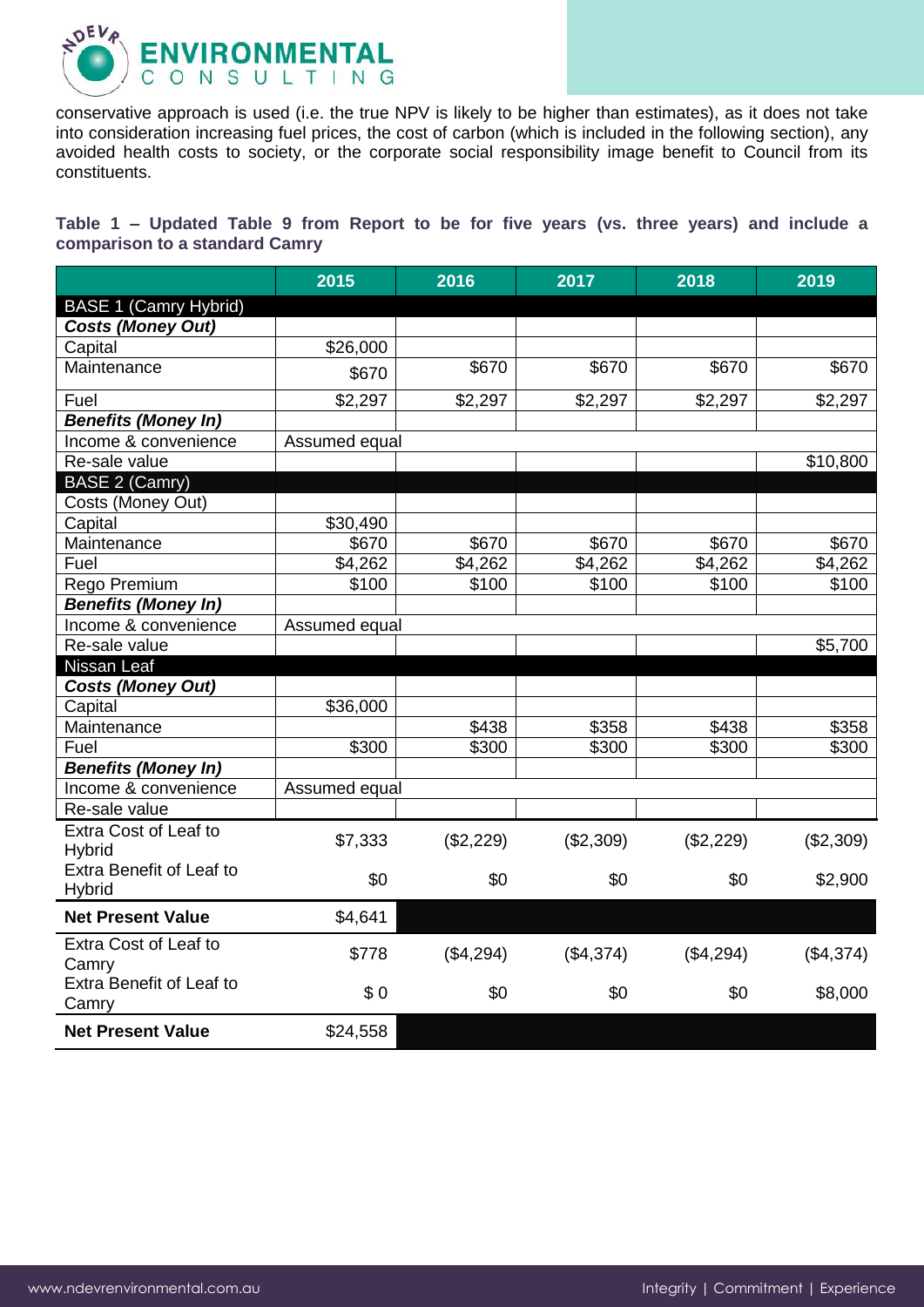

conservative approach is used (i.e. the true NPV is likely to be higher than estimates), as it does not take into consideration increasing fuel prices, the cost of carbon (which is included in the following section), any avoided health costs to society, or the corporate social responsibility image benefit to Council from its constituents.

**Table 1 – Updated Table 9 from Report to be for five years (vs. three years) and include a comparison to a standard Camry**

|                                    | 2015          | 2016      | 2017      | 2018      | 2019      |
|------------------------------------|---------------|-----------|-----------|-----------|-----------|
| <b>BASE 1 (Camry Hybrid)</b>       |               |           |           |           |           |
| <b>Costs (Money Out)</b>           |               |           |           |           |           |
| Capital                            | \$26,000      |           |           |           |           |
| Maintenance                        | \$670         | \$670     | \$670     | \$670     | \$670     |
| Fuel                               | \$2,297       | \$2,297   | \$2,297   | \$2,297   | \$2,297   |
| <b>Benefits (Money In)</b>         |               |           |           |           |           |
| Income & convenience               | Assumed equal |           |           |           |           |
| Re-sale value                      |               |           |           |           | \$10,800  |
| <b>BASE 2 (Camry)</b>              |               |           |           |           |           |
| Costs (Money Out)                  |               |           |           |           |           |
| Capital                            | \$30,490      |           |           |           |           |
| Maintenance                        | \$670         | \$670     | \$670     | \$670     | \$670     |
| Fuel                               | \$4,262       | \$4,262   | \$4,262   | \$4,262   | \$4,262   |
| Rego Premium                       | \$100         | \$100     | \$100     | \$100     | \$100     |
| <b>Benefits (Money In)</b>         |               |           |           |           |           |
| Income & convenience               | Assumed equal |           |           |           |           |
| Re-sale value                      |               |           |           |           | \$5,700   |
| Nissan Leaf                        |               |           |           |           |           |
| <b>Costs (Money Out)</b>           |               |           |           |           |           |
| Capital                            | \$36,000      |           |           |           |           |
| Maintenance                        |               | \$438     | \$358     | \$438     | \$358     |
| Fuel                               | \$300         | \$300     | \$300     | \$300     | \$300     |
| <b>Benefits (Money In)</b>         |               |           |           |           |           |
| Income & convenience               | Assumed equal |           |           |           |           |
| Re-sale value                      |               |           |           |           |           |
| Extra Cost of Leaf to<br>Hybrid    | \$7,333       | (\$2,229) | (\$2,309) | (\$2,229) | (\$2,309) |
| Extra Benefit of Leaf to<br>Hybrid | \$0           | \$0       | \$0       | \$0       | \$2,900   |
| <b>Net Present Value</b>           | \$4,641       |           |           |           |           |
| Extra Cost of Leaf to<br>Camry     | \$778         | (\$4,294) | (\$4,374) | (\$4,294) | (\$4,374) |
| Extra Benefit of Leaf to<br>Camry  | \$0           | \$0       | \$0       | \$0       | \$8,000   |
| <b>Net Present Value</b>           | \$24,558      |           |           |           |           |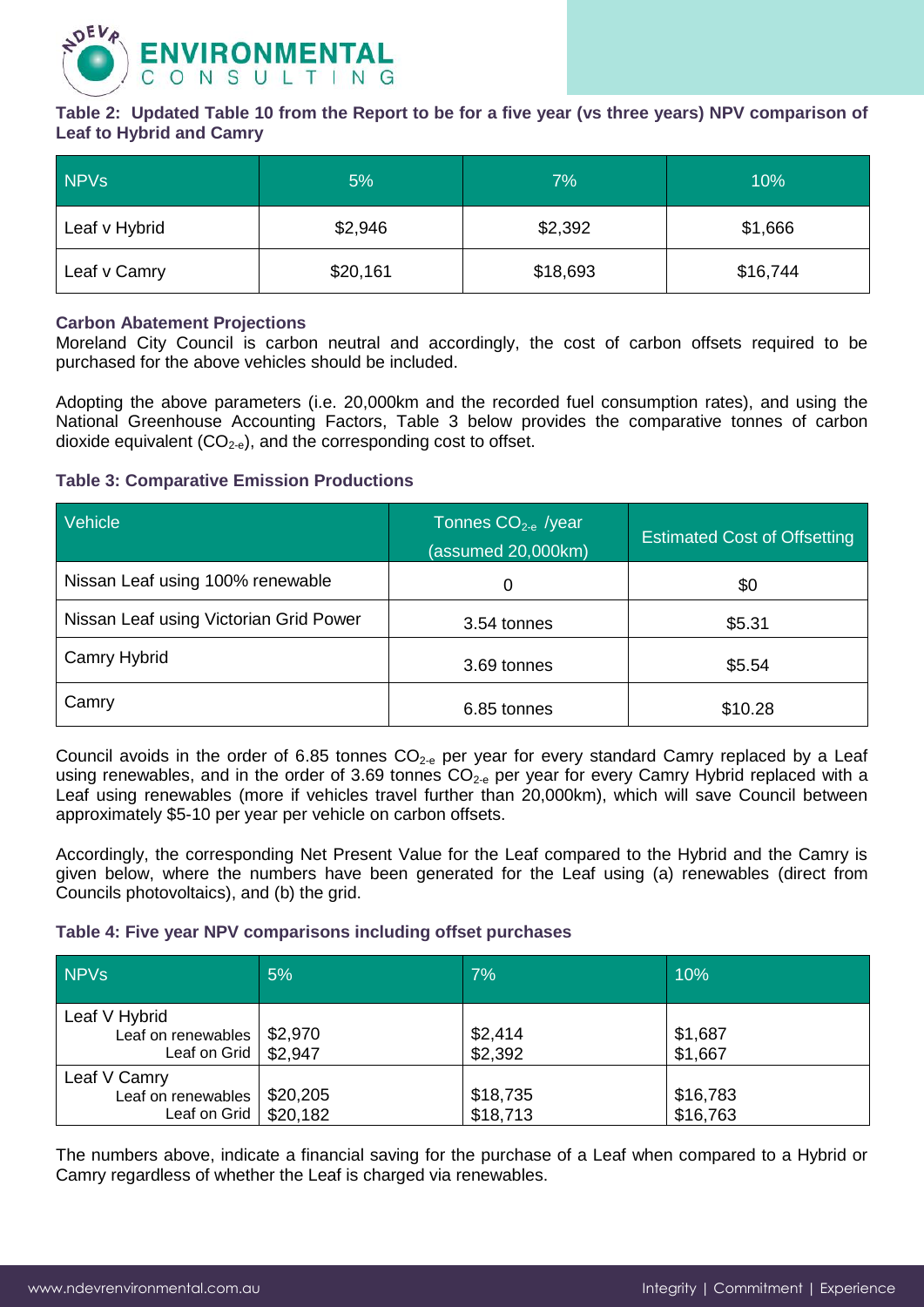

**Table 2: Updated Table 10 from the Report to be for a five year (vs three years) NPV comparison of Leaf to Hybrid and Camry**

| <b>NPVs</b>   | 5%       | 7%       | 10%      |
|---------------|----------|----------|----------|
| Leaf v Hybrid | \$2,946  | \$2,392  | \$1,666  |
| Leaf v Camry  | \$20,161 | \$18,693 | \$16,744 |

#### **Carbon Abatement Projections**

Moreland City Council is carbon neutral and accordingly, the cost of carbon offsets required to be purchased for the above vehicles should be included.

Adopting the above parameters (i.e. 20,000km and the recorded fuel consumption rates), and using the National Greenhouse Accounting Factors, Table 3 below provides the comparative tonnes of carbon dioxide equivalent  $(CO_{2-e})$ , and the corresponding cost to offset.

# **Table 3: Comparative Emission Productions**

| Vehicle                                | Tonnes $CO2-e$ /year<br>(assumed 20,000km) | <b>Estimated Cost of Offsetting</b> |  |
|----------------------------------------|--------------------------------------------|-------------------------------------|--|
| Nissan Leaf using 100% renewable       | 0                                          | \$0                                 |  |
| Nissan Leaf using Victorian Grid Power | 3.54 tonnes                                | \$5.31                              |  |
| Camry Hybrid                           | 3.69 tonnes                                | \$5.54                              |  |
| Camry                                  | 6.85 tonnes                                | \$10.28                             |  |

Council avoids in the order of 6.85 tonnes  $CO_{2-e}$  per year for every standard Camry replaced by a Leaf using renewables, and in the order of 3.69 tonnes  $CO<sub>2-e</sub>$  per year for every Camry Hybrid replaced with a Leaf using renewables (more if vehicles travel further than 20,000km), which will save Council between approximately \$5-10 per year per vehicle on carbon offsets.

Accordingly, the corresponding Net Present Value for the Leaf compared to the Hybrid and the Camry is given below, where the numbers have been generated for the Leaf using (a) renewables (direct from Councils photovoltaics), and (b) the grid.

## **Table 4: Five year NPV comparisons including offset purchases**

| <b>NPVs</b>                                                                    | 5%       | 7%                   | 10%                  |
|--------------------------------------------------------------------------------|----------|----------------------|----------------------|
| Leaf V Hybrid<br>Leaf on renewables $  $2,970$<br>Leaf on Grid $\vert$ \$2,947 |          | \$2,414<br>\$2,392   | \$1,687<br>\$1,667   |
| Leaf V Camry<br>Leaf on renewables<br>Leaf on Grid   $$20,182$                 | \$20,205 | \$18,735<br>\$18,713 | \$16,783<br>\$16,763 |

The numbers above, indicate a financial saving for the purchase of a Leaf when compared to a Hybrid or Camry regardless of whether the Leaf is charged via renewables.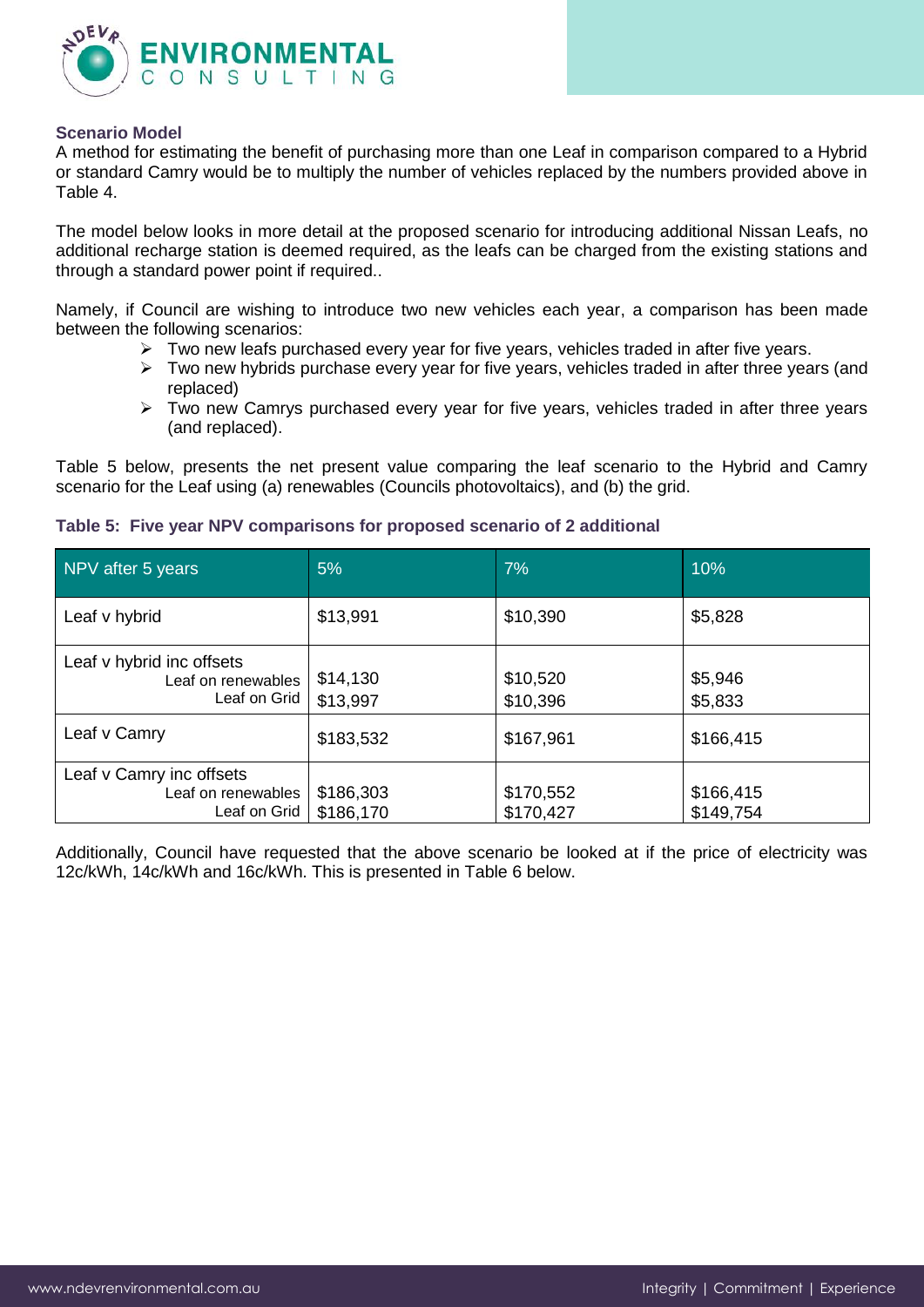

#### **Scenario Model**

A method for estimating the benefit of purchasing more than one Leaf in comparison compared to a Hybrid or standard Camry would be to multiply the number of vehicles replaced by the numbers provided above in Table 4.

The model below looks in more detail at the proposed scenario for introducing additional Nissan Leafs, no additional recharge station is deemed required, as the leafs can be charged from the existing stations and through a standard power point if required..

Namely, if Council are wishing to introduce two new vehicles each year, a comparison has been made between the following scenarios:

- $\triangleright$  Two new leafs purchased every year for five years, vehicles traded in after five years.
- $\triangleright$  Two new hybrids purchase every year for five years, vehicles traded in after three years (and replaced)
- $\triangleright$  Two new Camrys purchased every year for five years, vehicles traded in after three years (and replaced).

Table 5 below, presents the net present value comparing the leaf scenario to the Hybrid and Camry scenario for the Leaf using (a) renewables (Councils photovoltaics), and (b) the grid.

| NPV after 5 years                                               | 5%                     | 7%                     | 10%                    |
|-----------------------------------------------------------------|------------------------|------------------------|------------------------|
| Leaf v hybrid                                                   | \$13,991               | \$10,390               | \$5,828                |
| Leaf v hybrid inc offsets<br>Leaf on renewables<br>Leaf on Grid | \$14,130<br>\$13,997   | \$10,520<br>\$10,396   | \$5,946<br>\$5,833     |
| Leaf v Camry                                                    | \$183,532              | \$167,961              | \$166,415              |
| Leaf v Camry inc offsets<br>Leaf on renewables<br>Leaf on Grid  | \$186,303<br>\$186,170 | \$170,552<br>\$170,427 | \$166,415<br>\$149,754 |

#### **Table 5: Five year NPV comparisons for proposed scenario of 2 additional**

Additionally, Council have requested that the above scenario be looked at if the price of electricity was 12c/kWh, 14c/kWh and 16c/kWh. This is presented in Table 6 below.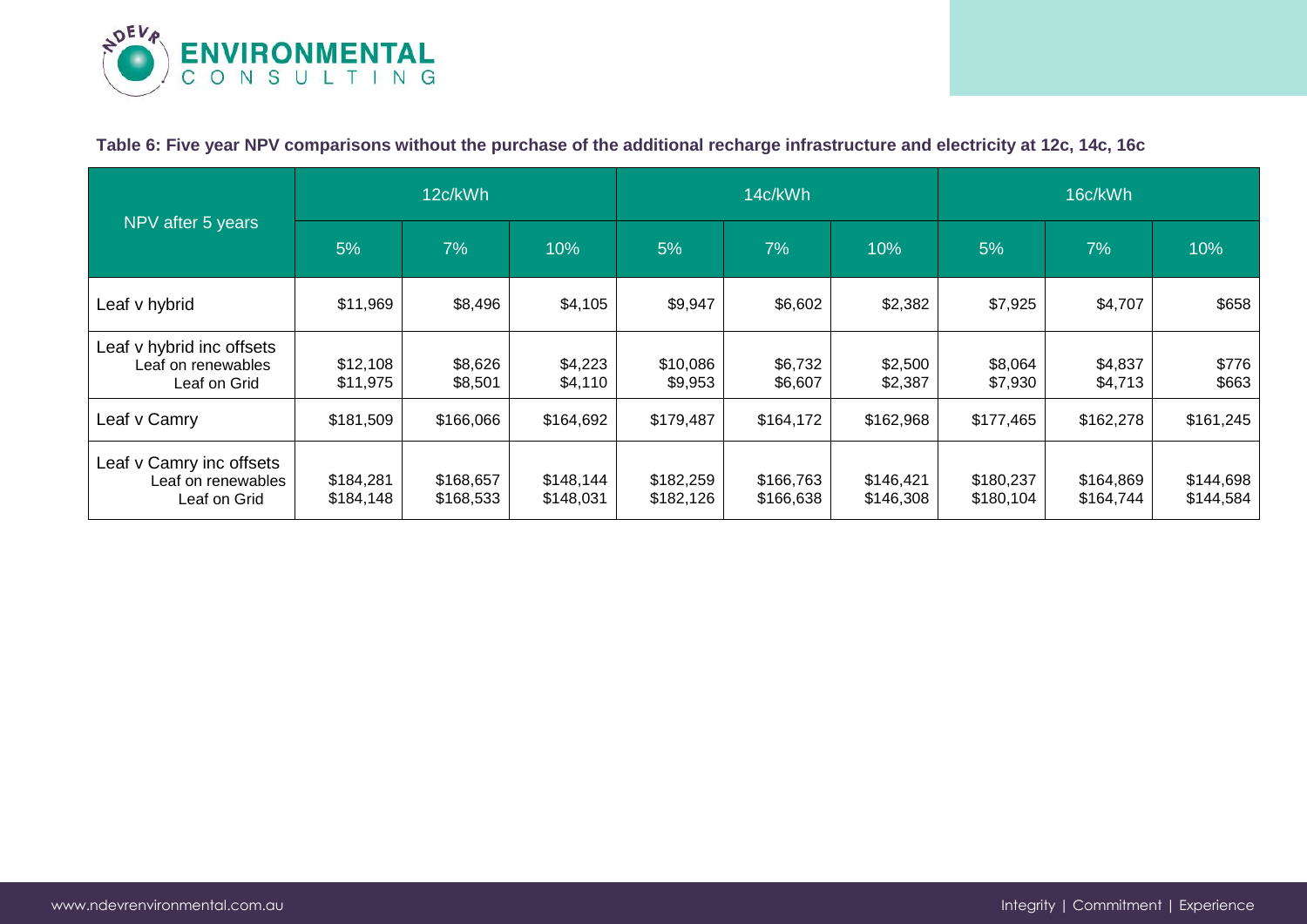

# **Table 6: Five year NPV comparisons without the purchase of the additional recharge infrastructure and electricity at 12c, 14c, 16c**

| NPV after 5 years                                               | 12c/kWh                |                        | 14c/kWh                |                        |                        | 16c/kWh                |                        |                        |                        |
|-----------------------------------------------------------------|------------------------|------------------------|------------------------|------------------------|------------------------|------------------------|------------------------|------------------------|------------------------|
|                                                                 | 5%                     | 7%                     | 10%                    | 5%                     | 7%                     | 10%                    | 5%                     | 7%                     | 10%                    |
| Leaf v hybrid                                                   | \$11,969               | \$8,496                | \$4,105                | \$9,947                | \$6,602                | \$2,382                | \$7,925                | \$4,707                | \$658                  |
| Leaf v hybrid inc offsets<br>Leaf on renewables<br>Leaf on Grid | \$12,108<br>\$11,975   | \$8,626<br>\$8,501     | \$4,223<br>\$4,110     | \$10,086<br>\$9,953    | \$6,732<br>\$6,607     | \$2,500<br>\$2,387     | \$8,064<br>\$7,930     | \$4,837<br>\$4,713     | \$776<br>\$663         |
| Leaf v Camry                                                    | \$181,509              | \$166,066              | \$164,692              | \$179,487              | \$164,172              | \$162,968              | \$177,465              | \$162,278              | \$161,245              |
| Leaf v Camry inc offsets<br>Leaf on renewables<br>Leaf on Grid  | \$184,281<br>\$184,148 | \$168,657<br>\$168,533 | \$148,144<br>\$148,031 | \$182,259<br>\$182,126 | \$166,763<br>\$166,638 | \$146,421<br>\$146,308 | \$180,237<br>\$180,104 | \$164,869<br>\$164,744 | \$144,698<br>\$144,584 |